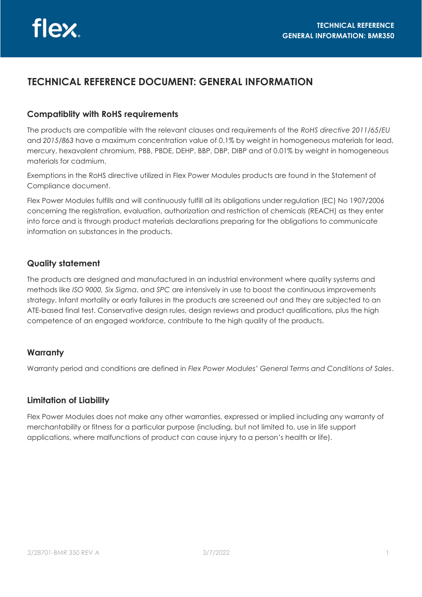# **TECHNICAL REFERENCE DOCUMENT: GENERAL INFORMATION**

### **Compatiblity with RoHS requirements**

The products are compatible with the relevant clauses and requirements of the *RoHS directive 2011/65/EU*  and *2015/863* have a maximum concentration value of 0.1% by weight in homogeneous materials for lead, mercury, hexavalent chromium, PBB, PBDE, DEHP, BBP, DBP, DIBP and of 0.01% by weight in homogeneous materials for cadmium.

Exemptions in the RoHS directive utilized in Flex Power Modules products are found in the Statement of Compliance document.

Flex Power Modules fulfills and will continuously fulfill all its obligations under regulation (EC) No 1907/2006 concerning the registration, evaluation, authorization and restriction of chemicals (REACH) as they enter into force and is through product materials declarations preparing for the obligations to communicate information on substances in the products.

## **Quality statement**

The products are designed and manufactured in an industrial environment where quality systems and methods like *ISO 9000, Six Sigma*, and *SPC* are intensively in use to boost the continuous improvements strategy. Infant mortality or early failures in the products are screened out and they are subjected to an ATE-based final test. Conservative design rules, design reviews and product qualifications, plus the high competence of an engaged workforce, contribute to the high quality of the products.

#### **Warranty**

Warranty period and conditions are defined in *Flex Power Modules' General Terms and Conditions of Sales*.

#### **Limitation of Liability**

Flex Power Modules does not make any other warranties, expressed or implied including any warranty of merchantability or fitness for a particular purpose (including, but not limited to, use in life support applications, where malfunctions of product can cause injury to a person's health or life).